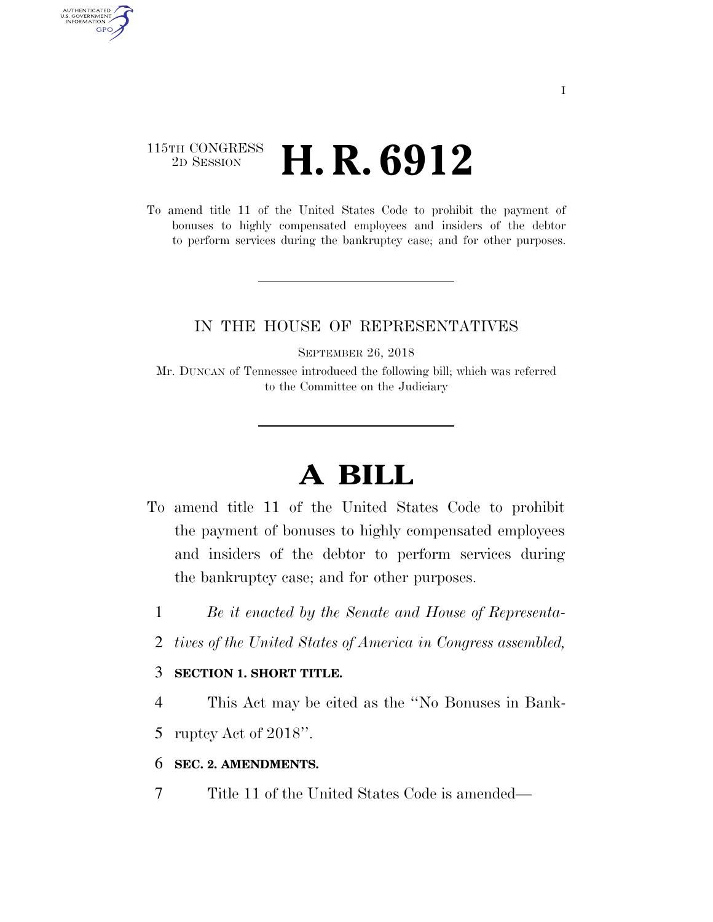# 115TH CONGRESS <sup>2D SESSION</sup> **H. R. 6912**

AUTHENTICATED<br>U.S. GOVERNMENT<br>INFORMATION

**GPO** 

To amend title 11 of the United States Code to prohibit the payment of bonuses to highly compensated employees and insiders of the debtor to perform services during the bankruptcy case; and for other purposes.

## IN THE HOUSE OF REPRESENTATIVES

SEPTEMBER 26, 2018

Mr. DUNCAN of Tennessee introduced the following bill; which was referred to the Committee on the Judiciary

# **A BILL**

- To amend title 11 of the United States Code to prohibit the payment of bonuses to highly compensated employees and insiders of the debtor to perform services during the bankruptcy case; and for other purposes.
	- 1 *Be it enacted by the Senate and House of Representa-*
	- 2 *tives of the United States of America in Congress assembled,*

#### 3 **SECTION 1. SHORT TITLE.**

4 This Act may be cited as the ''No Bonuses in Bank-

5 ruptcy Act of 2018''.

### 6 **SEC. 2. AMENDMENTS.**

7 Title 11 of the United States Code is amended—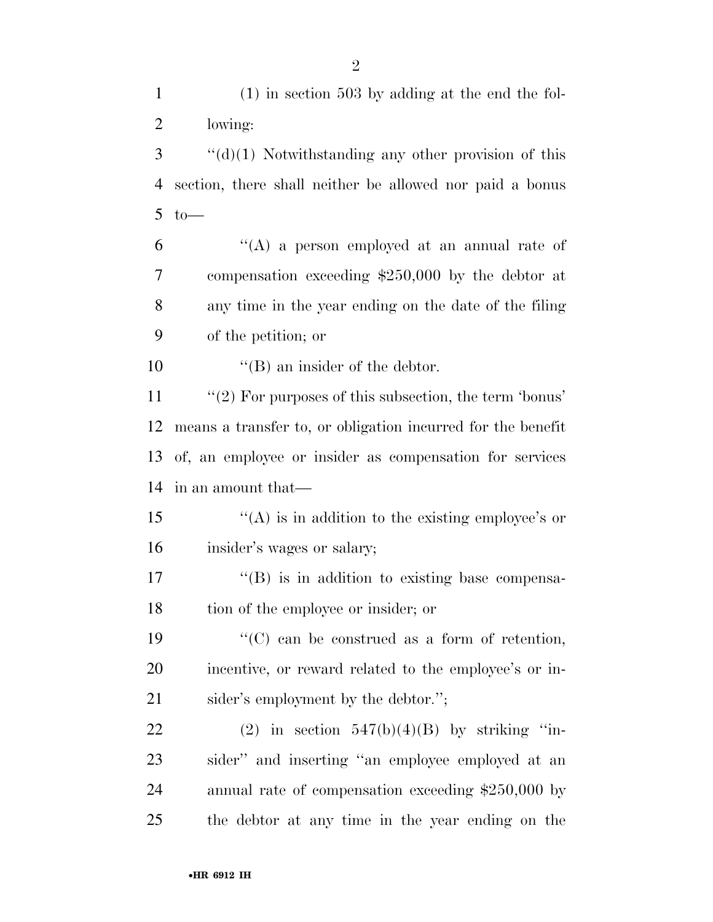(1) in section 503 by adding at the end the fol- lowing: ''(d)(1) Notwithstanding any other provision of this section, there shall neither be allowed nor paid a bonus to —  $(6)$  ''(A) a person employed at an annual rate of compensation exceeding \$250,000 by the debtor at any time in the year ending on the date of the filing of the petition; or  $\text{``(B)}$  an insider of the debtor. 11 "(2) For purposes of this subsection, the term 'bonus' means a transfer to, or obligation incurred for the benefit of, an employee or insider as compensation for services in an amount that—  $\langle A \rangle$  is in addition to the existing employee's or insider's wages or salary;  $\text{``(B)}$  is in addition to existing base compensa- tion of the employee or insider; or  $\langle ^{\prime}(C) \rangle$  can be construed as a form of retention, incentive, or reward related to the employee's or in-21 sider's employment by the debtor."; 22 (2) in section  $547(b)(4)(B)$  by striking "in- sider'' and inserting ''an employee employed at an annual rate of compensation exceeding \$250,000 by the debtor at any time in the year ending on the